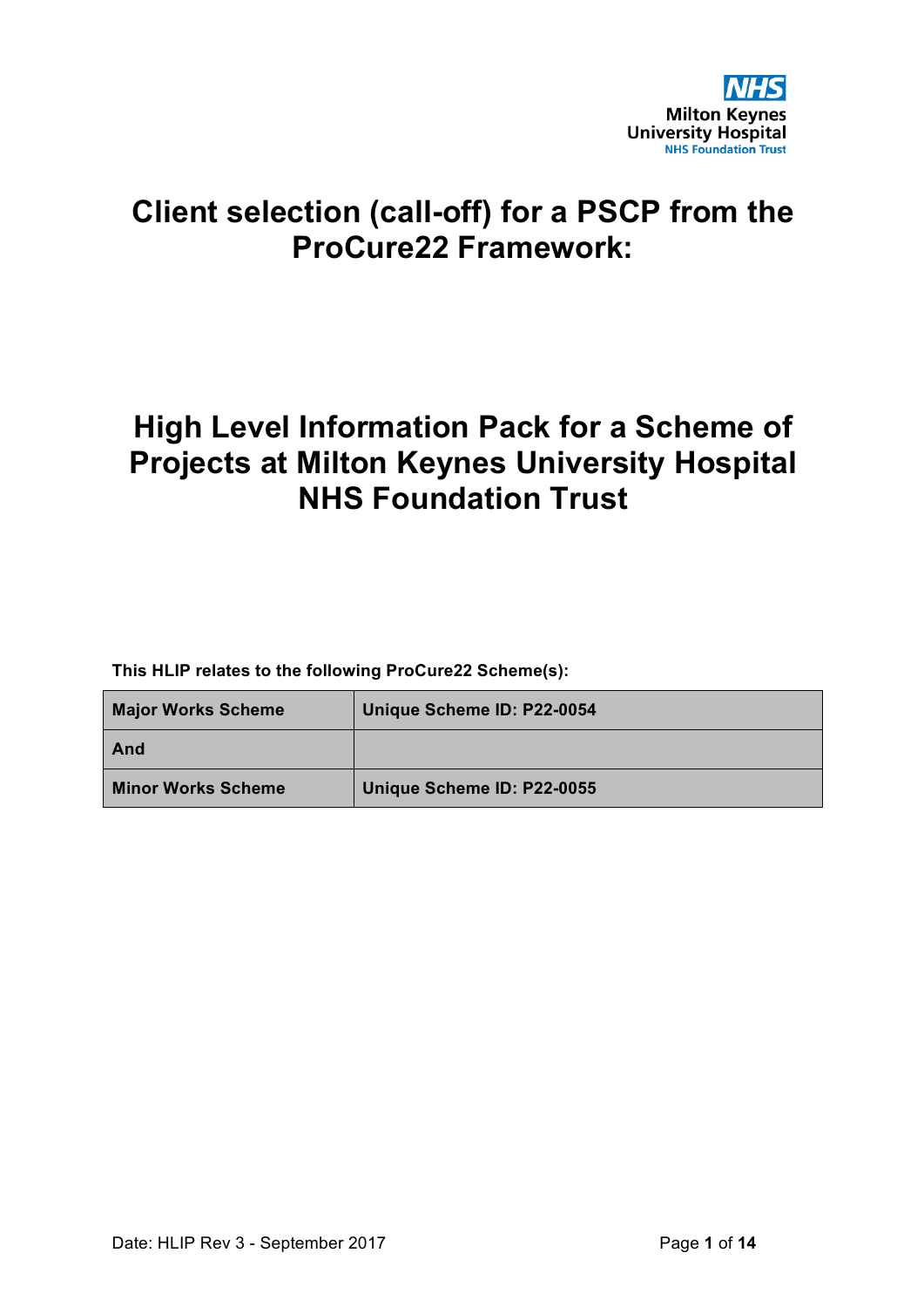

# **Client selection (call-off) for a PSCP from the ProCure22 Framework:**

# **High Level Information Pack for a Scheme of Projects at Milton Keynes University Hospital NHS Foundation Trust**

**This HLIP relates to the following ProCure22 Scheme(s):**

| <b>Major Works Scheme</b> | Unique Scheme ID: P22-0054 |
|---------------------------|----------------------------|
| And                       |                            |
| <b>Minor Works Scheme</b> | Unique Scheme ID: P22-0055 |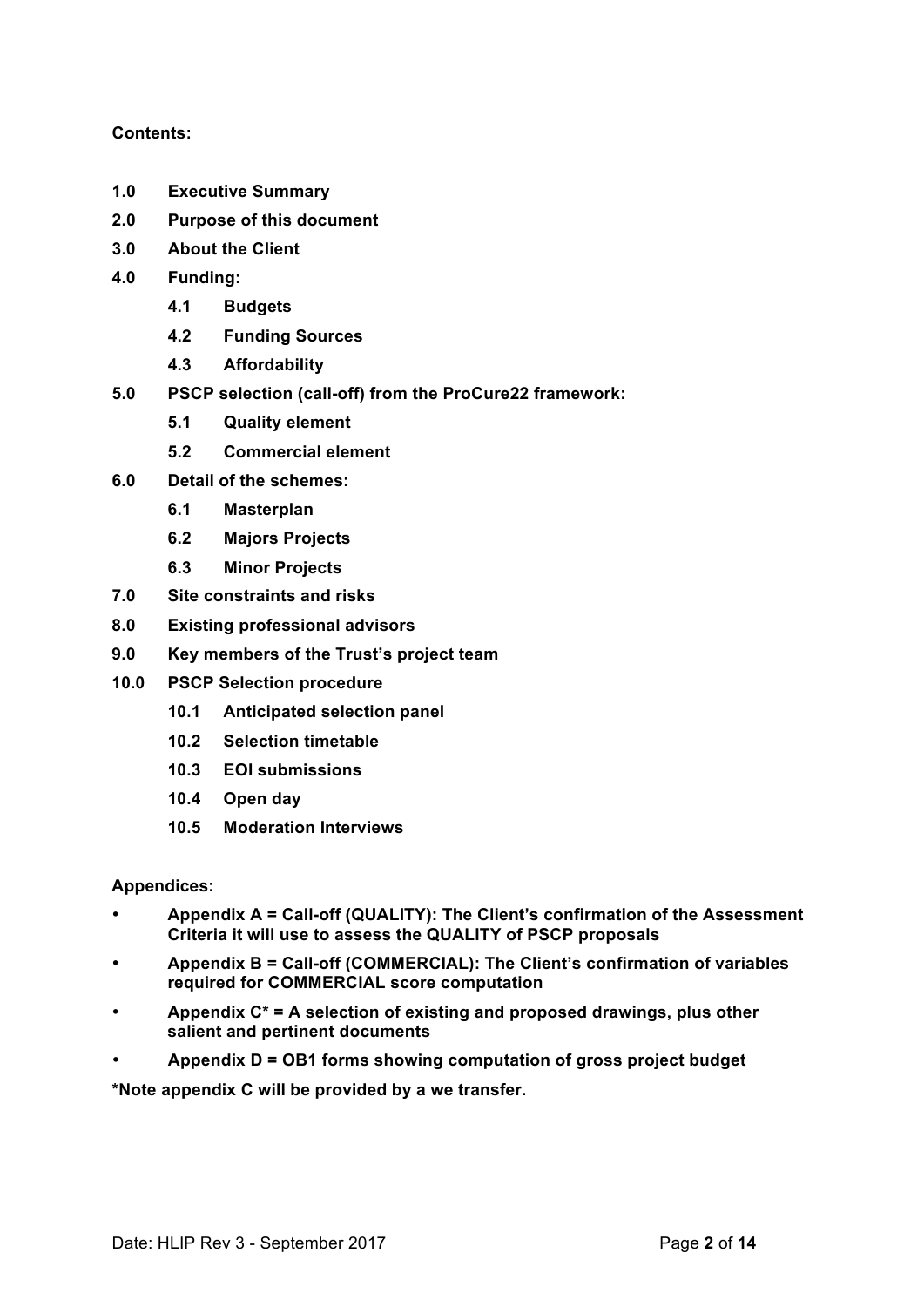## **Contents:**

- **1.0 Executive Summary**
- **2.0 Purpose of this document**
- **3.0 About the Client**
- **4.0 Funding:**
	- **4.1 Budgets**
	- **4.2 Funding Sources**
	- **4.3 Affordability**
- **5.0 PSCP selection (call-off) from the ProCure22 framework:**
	- **5.1 Quality element**
	- **5.2 Commercial element**
- **6.0 Detail of the schemes:**
	- **6.1 Masterplan**
	- **6.2 Majors Projects**
	- **6.3 Minor Projects**
- **7.0 Site constraints and risks**
- **8.0 Existing professional advisors**
- **9.0 Key members of the Trust's project team**
- **10.0 PSCP Selection procedure**
	- **10.1 Anticipated selection panel**
	- **10.2 Selection timetable**
	- **10.3 EOI submissions**
	- **10.4 Open day**
	- **10.5 Moderation Interviews**

## **Appendices:**

- **Appendix A = Call-off (QUALITY): The Client's confirmation of the Assessment Criteria it will use to assess the QUALITY of PSCP proposals**
- **Appendix B = Call-off (COMMERCIAL): The Client's confirmation of variables required for COMMERCIAL score computation**
- **Appendix C\* = A selection of existing and proposed drawings, plus other salient and pertinent documents**
- **Appendix D = OB1 forms showing computation of gross project budget**

**\*Note appendix C will be provided by a we transfer.**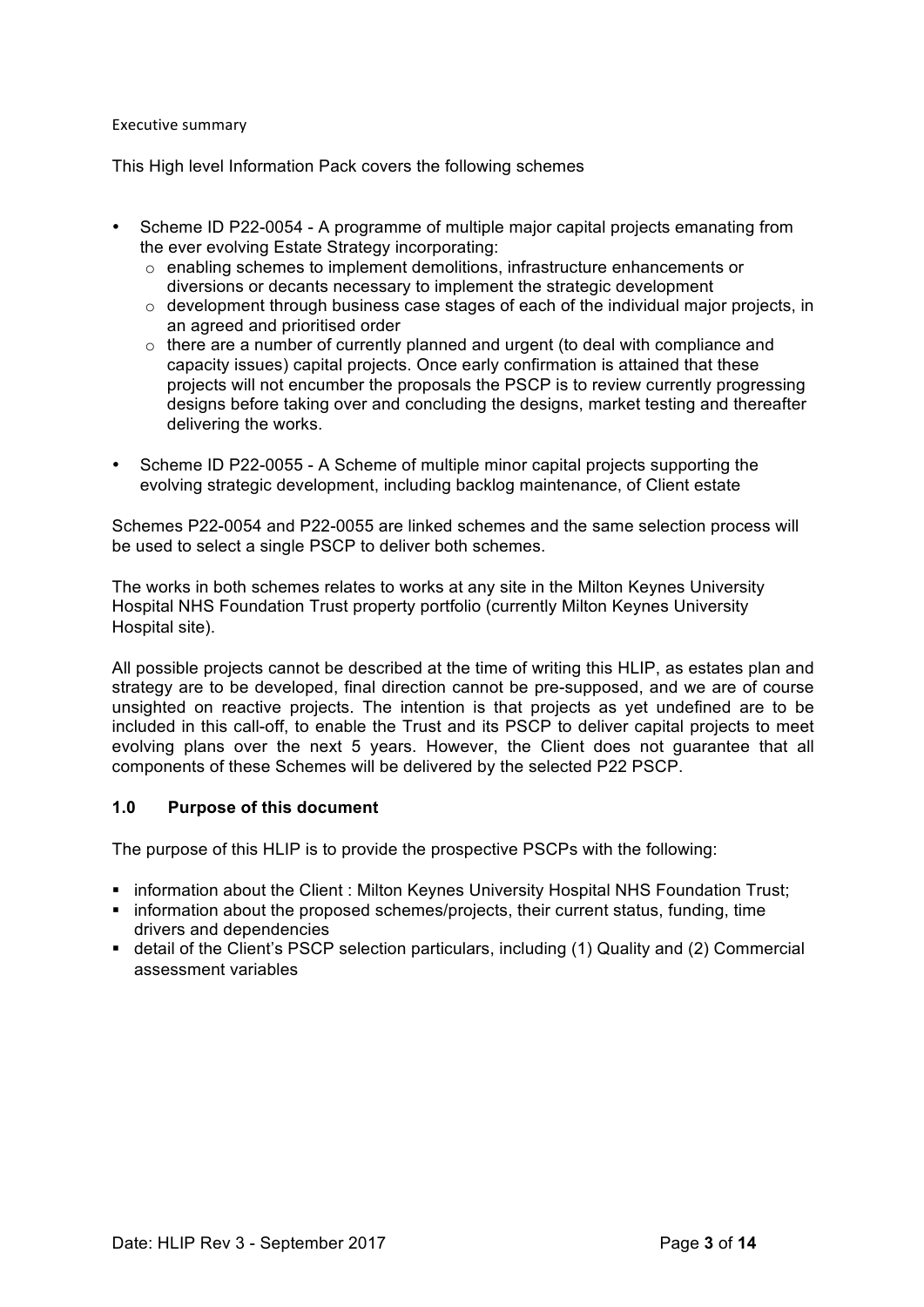#### Executive summary

This High level Information Pack covers the following schemes

- Scheme ID P22-0054 A programme of multiple major capital projects emanating from the ever evolving Estate Strategy incorporating:
	- $\circ$  enabling schemes to implement demolitions, infrastructure enhancements or diversions or decants necessary to implement the strategic development
	- $\circ$  development through business case stages of each of the individual major projects, in an agreed and prioritised order
	- o there are a number of currently planned and urgent (to deal with compliance and capacity issues) capital projects. Once early confirmation is attained that these projects will not encumber the proposals the PSCP is to review currently progressing designs before taking over and concluding the designs, market testing and thereafter delivering the works.
- Scheme ID P22-0055 A Scheme of multiple minor capital projects supporting the evolving strategic development, including backlog maintenance, of Client estate

Schemes P22-0054 and P22-0055 are linked schemes and the same selection process will be used to select a single PSCP to deliver both schemes.

The works in both schemes relates to works at any site in the Milton Keynes University Hospital NHS Foundation Trust property portfolio (currently Milton Keynes University Hospital site).

All possible projects cannot be described at the time of writing this HLIP, as estates plan and strategy are to be developed, final direction cannot be pre-supposed, and we are of course unsighted on reactive projects. The intention is that projects as yet undefined are to be included in this call-off, to enable the Trust and its PSCP to deliver capital projects to meet evolving plans over the next 5 years. However, the Client does not guarantee that all components of these Schemes will be delivered by the selected P22 PSCP.

## **1.0 Purpose of this document**

The purpose of this HLIP is to provide the prospective PSCPs with the following:

- **.** information about the Client : Milton Keynes University Hospital NHS Foundation Trust;
- ! information about the proposed schemes/projects, their current status, funding, time drivers and dependencies
- ! detail of the Client's PSCP selection particulars, including (1) Quality and (2) Commercial assessment variables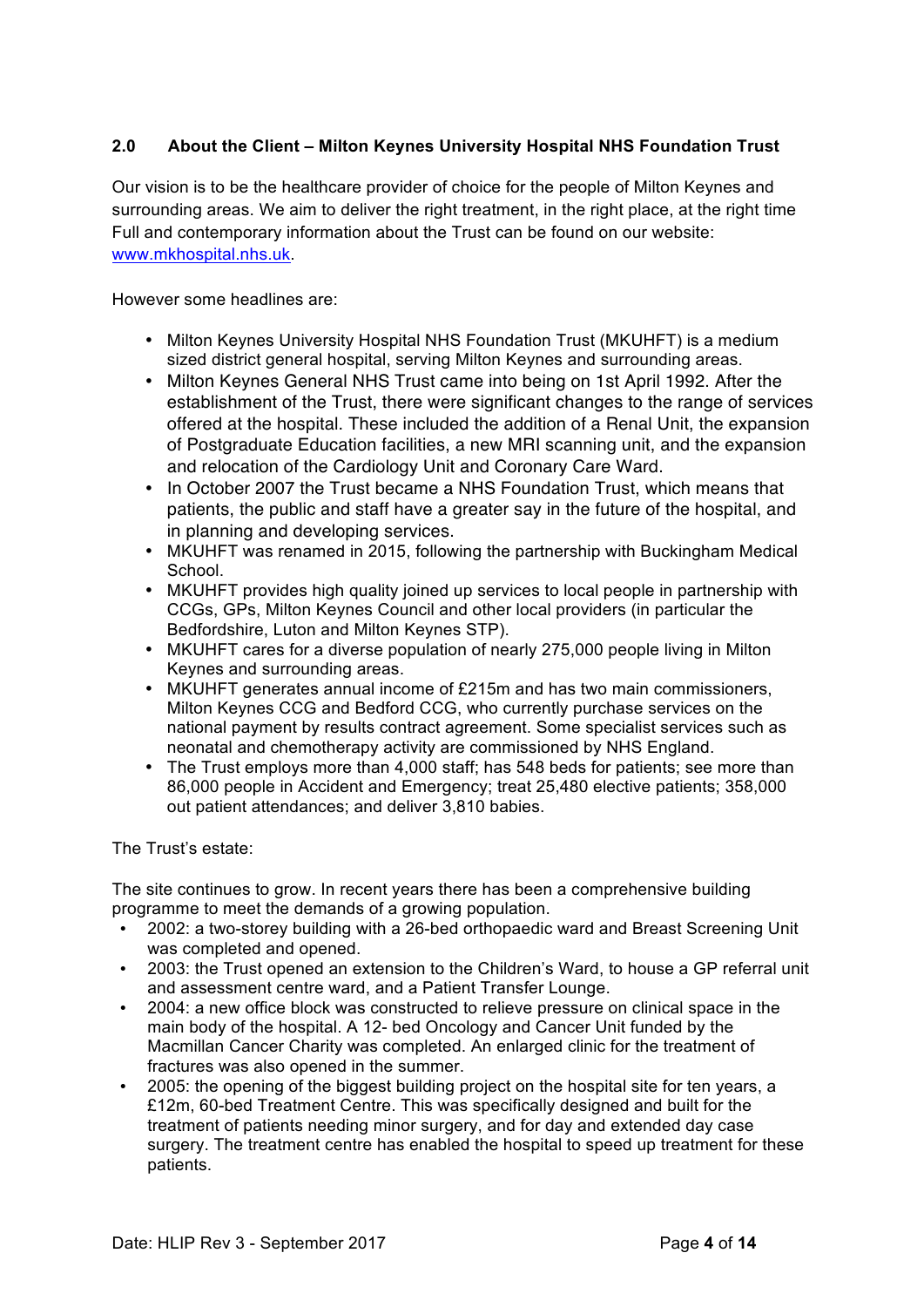# **2.0 About the Client – Milton Keynes University Hospital NHS Foundation Trust**

Our vision is to be the healthcare provider of choice for the people of Milton Keynes and surrounding areas. We aim to deliver the right treatment, in the right place, at the right time Full and contemporary information about the Trust can be found on our website: www.mkhospital.nhs.uk.

However some headlines are:

- Milton Keynes University Hospital NHS Foundation Trust (MKUHFT) is a medium sized district general hospital, serving Milton Keynes and surrounding areas.
- Milton Keynes General NHS Trust came into being on 1st April 1992. After the establishment of the Trust, there were significant changes to the range of services offered at the hospital. These included the addition of a Renal Unit, the expansion of Postgraduate Education facilities, a new MRI scanning unit, and the expansion and relocation of the Cardiology Unit and Coronary Care Ward.
- In October 2007 the Trust became a NHS Foundation Trust, which means that patients, the public and staff have a greater say in the future of the hospital, and in planning and developing services.
- MKUHFT was renamed in 2015, following the partnership with Buckingham Medical School.
- MKUHFT provides high quality joined up services to local people in partnership with CCGs, GPs, Milton Keynes Council and other local providers (in particular the Bedfordshire, Luton and Milton Keynes STP).
- MKUHFT cares for a diverse population of nearly 275,000 people living in Milton Keynes and surrounding areas.
- MKUHFT generates annual income of £215m and has two main commissioners, Milton Keynes CCG and Bedford CCG, who currently purchase services on the national payment by results contract agreement. Some specialist services such as neonatal and chemotherapy activity are commissioned by NHS England.
- The Trust employs more than 4,000 staff; has 548 beds for patients; see more than 86,000 people in Accident and Emergency; treat 25,480 elective patients; 358,000 out patient attendances; and deliver 3,810 babies.

The Trust's estate:

The site continues to grow. In recent years there has been a comprehensive building programme to meet the demands of a growing population.

- 2002: a two-storey building with a 26-bed orthopaedic ward and Breast Screening Unit was completed and opened.
- 2003: the Trust opened an extension to the Children's Ward, to house a GP referral unit and assessment centre ward, and a Patient Transfer Lounge.
- 2004: a new office block was constructed to relieve pressure on clinical space in the main body of the hospital. A 12- bed Oncology and Cancer Unit funded by the Macmillan Cancer Charity was completed. An enlarged clinic for the treatment of fractures was also opened in the summer.
- 2005: the opening of the biggest building project on the hospital site for ten years, a £12m, 60-bed Treatment Centre. This was specifically designed and built for the treatment of patients needing minor surgery, and for day and extended day case surgery. The treatment centre has enabled the hospital to speed up treatment for these patients.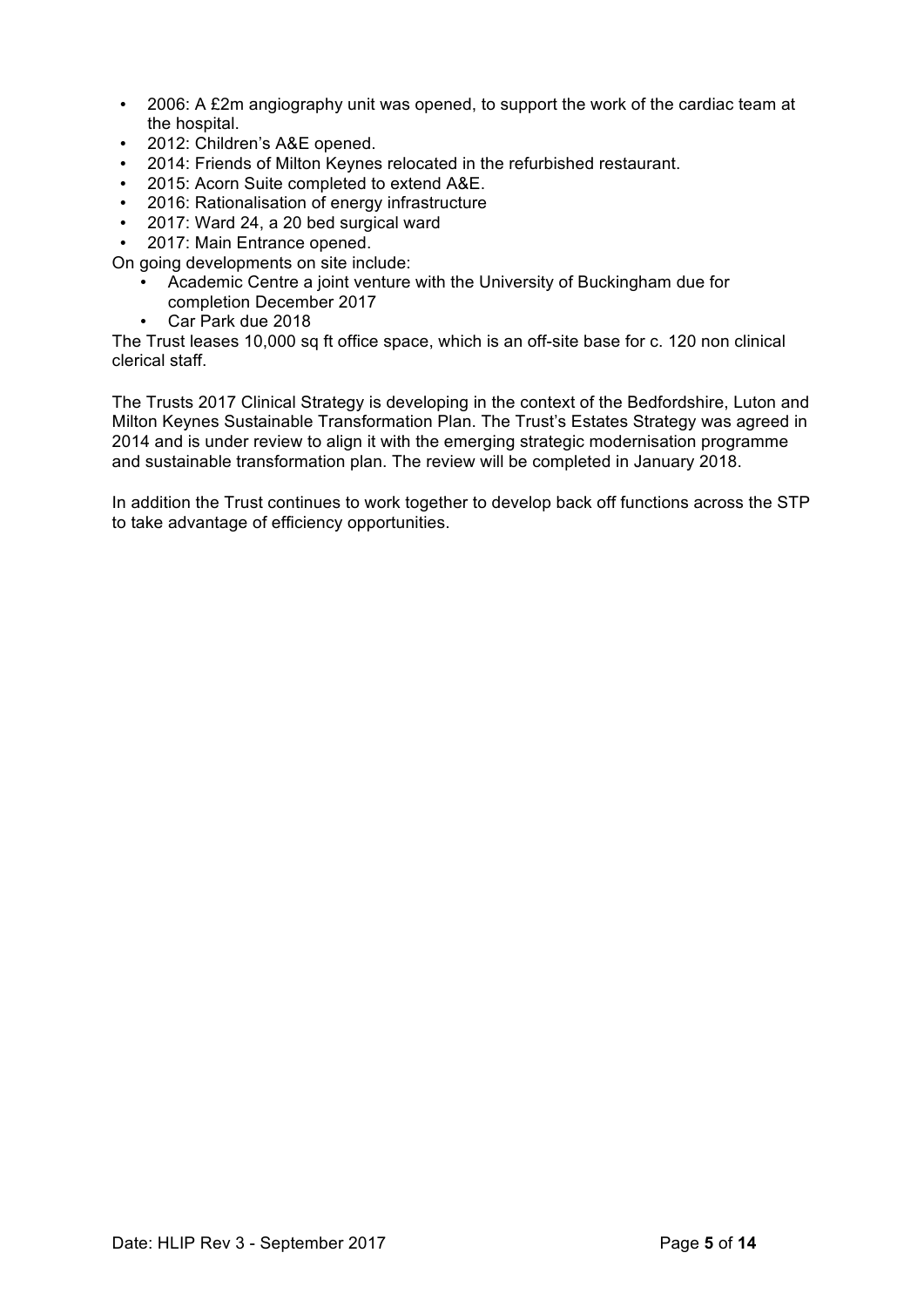- 2006: A £2m angiography unit was opened, to support the work of the cardiac team at the hospital.
- 2012: Children's A&E opened.
- 2014: Friends of Milton Keynes relocated in the refurbished restaurant.
- 2015: Acorn Suite completed to extend A&E.
- 2016: Rationalisation of energy infrastructure
- 2017: Ward 24, a 20 bed surgical ward
- 2017: Main Entrance opened.

On going developments on site include:

- Academic Centre a joint venture with the University of Buckingham due for completion December 2017
- Car Park due 2018

The Trust leases 10,000 sq ft office space, which is an off-site base for c. 120 non clinical clerical staff.

The Trusts 2017 Clinical Strategy is developing in the context of the Bedfordshire, Luton and Milton Keynes Sustainable Transformation Plan. The Trust's Estates Strategy was agreed in 2014 and is under review to align it with the emerging strategic modernisation programme and sustainable transformation plan. The review will be completed in January 2018.

In addition the Trust continues to work together to develop back off functions across the STP to take advantage of efficiency opportunities.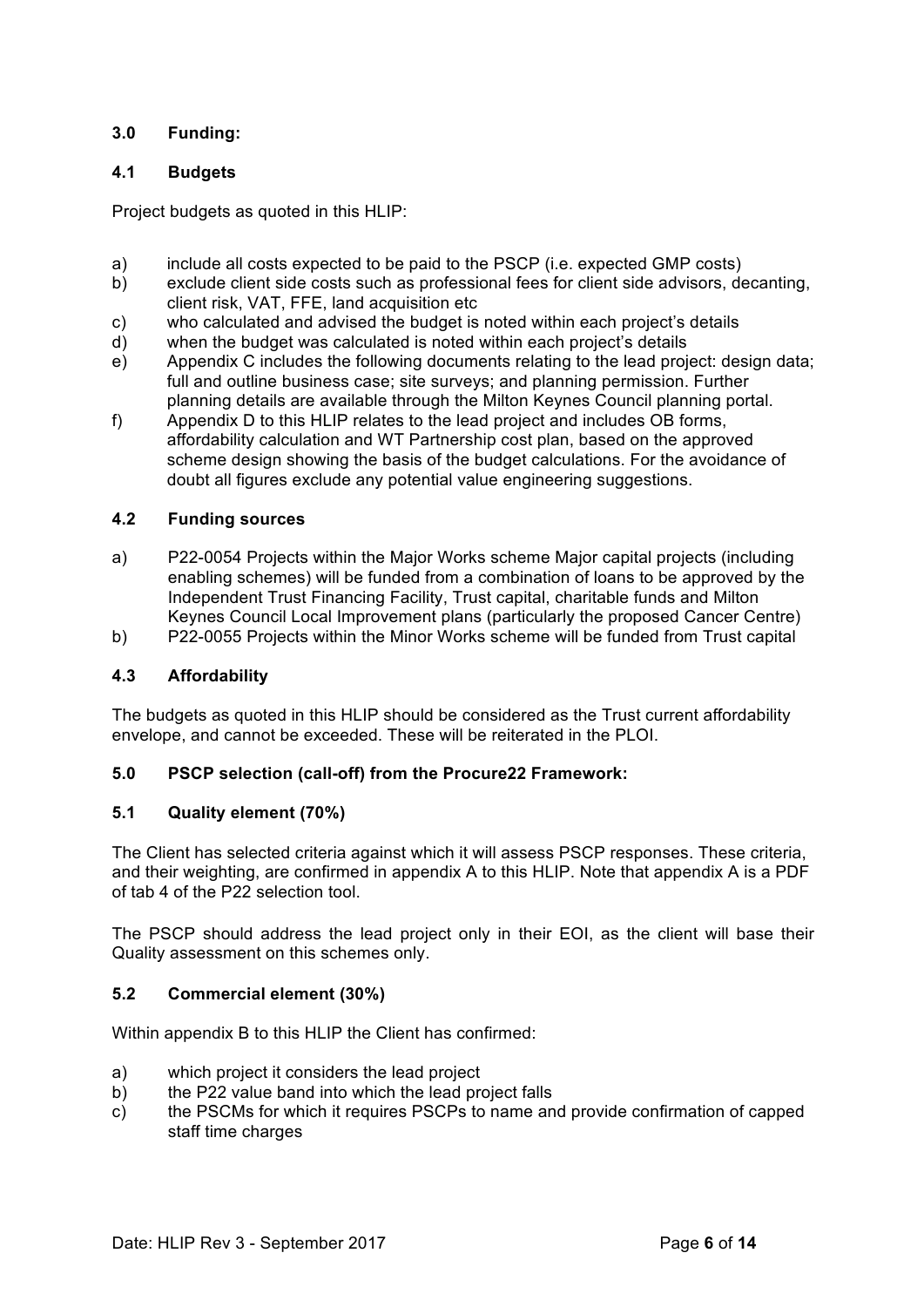## **3.0 Funding:**

## **4.1 Budgets**

Project budgets as quoted in this HLIP:

- a) include all costs expected to be paid to the PSCP (i.e. expected GMP costs)
- b) exclude client side costs such as professional fees for client side advisors, decanting, client risk, VAT, FFE, land acquisition etc
- c) who calculated and advised the budget is noted within each project's details
- d) when the budget was calculated is noted within each project's details
- e) Appendix C includes the following documents relating to the lead project: design data; full and outline business case; site surveys; and planning permission. Further planning details are available through the Milton Keynes Council planning portal.
- f) Appendix D to this HLIP relates to the lead project and includes OB forms, affordability calculation and WT Partnership cost plan, based on the approved scheme design showing the basis of the budget calculations. For the avoidance of doubt all figures exclude any potential value engineering suggestions.

## **4.2 Funding sources**

- a) P22-0054 Projects within the Major Works scheme Major capital projects (including enabling schemes) will be funded from a combination of loans to be approved by the Independent Trust Financing Facility, Trust capital, charitable funds and Milton Keynes Council Local Improvement plans (particularly the proposed Cancer Centre)
- b) P22-0055 Projects within the Minor Works scheme will be funded from Trust capital

## **4.3 Affordability**

The budgets as quoted in this HLIP should be considered as the Trust current affordability envelope, and cannot be exceeded. These will be reiterated in the PLOI.

## **5.0 PSCP selection (call-off) from the Procure22 Framework:**

## **5.1 Quality element (70%)**

The Client has selected criteria against which it will assess PSCP responses. These criteria, and their weighting, are confirmed in appendix A to this HLIP. Note that appendix A is a PDF of tab 4 of the P22 selection tool.

The PSCP should address the lead project only in their EOI, as the client will base their Quality assessment on this schemes only.

## **5.2 Commercial element (30%)**

Within appendix B to this HLIP the Client has confirmed:

- a) which project it considers the lead project
- b) the P22 value band into which the lead project falls
- c) the PSCMs for which it requires PSCPs to name and provide confirmation of capped staff time charges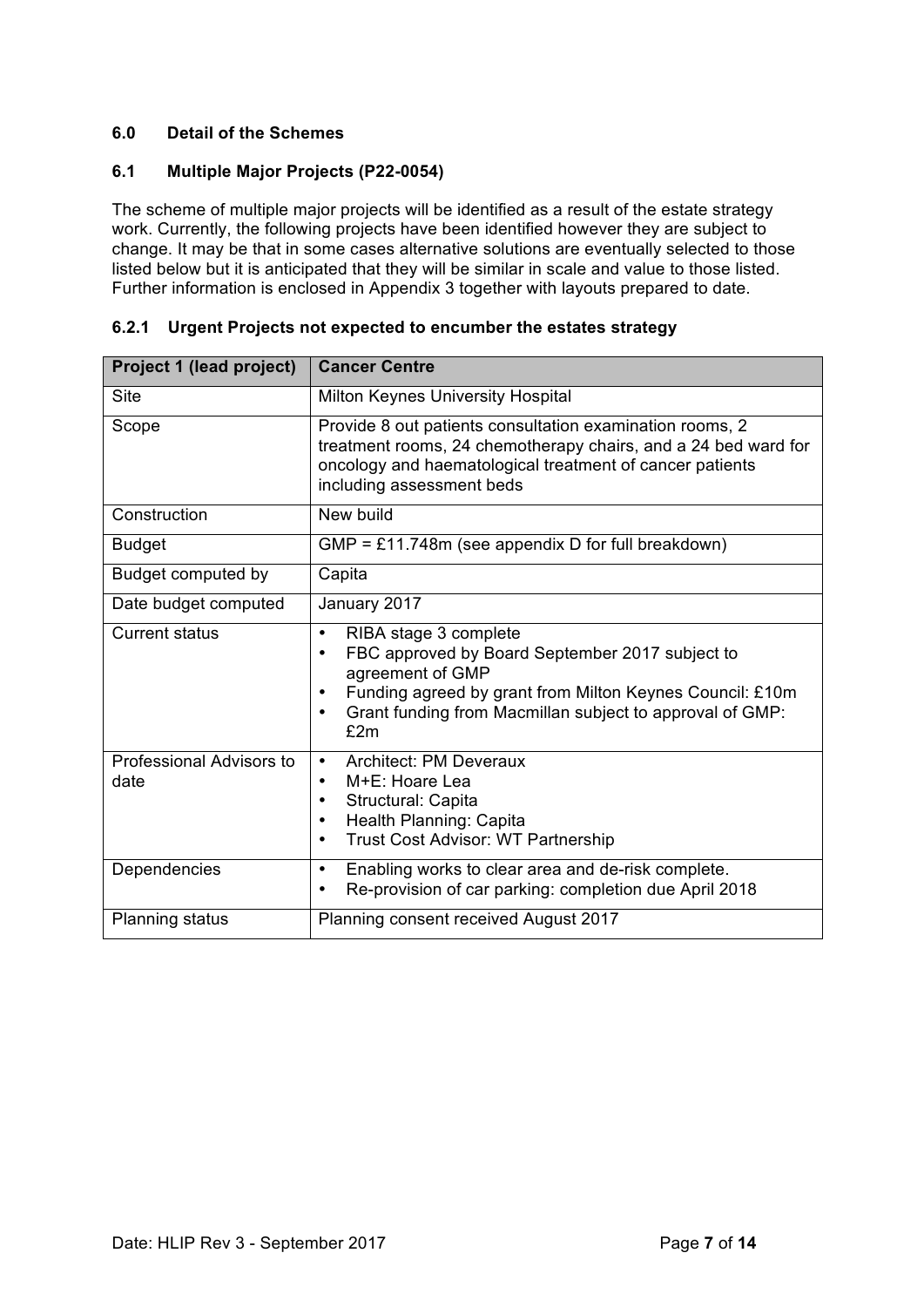## **6.0 Detail of the Schemes**

## **6.1 Multiple Major Projects (P22-0054)**

The scheme of multiple major projects will be identified as a result of the estate strategy work. Currently, the following projects have been identified however they are subject to change. It may be that in some cases alternative solutions are eventually selected to those listed below but it is anticipated that they will be similar in scale and value to those listed. Further information is enclosed in Appendix 3 together with layouts prepared to date.

| Project 1 (lead project)         | <b>Cancer Centre</b>                                                                                                                                                                                                                                       |  |
|----------------------------------|------------------------------------------------------------------------------------------------------------------------------------------------------------------------------------------------------------------------------------------------------------|--|
| <b>Site</b>                      | <b>Milton Keynes University Hospital</b>                                                                                                                                                                                                                   |  |
| Scope                            | Provide 8 out patients consultation examination rooms, 2<br>treatment rooms, 24 chemotherapy chairs, and a 24 bed ward for<br>oncology and haematological treatment of cancer patients<br>including assessment beds                                        |  |
| Construction                     | New build                                                                                                                                                                                                                                                  |  |
| <b>Budget</b>                    | GMP = £11.748m (see appendix D for full breakdown)                                                                                                                                                                                                         |  |
| Budget computed by               | Capita                                                                                                                                                                                                                                                     |  |
| Date budget computed             | January 2017                                                                                                                                                                                                                                               |  |
| <b>Current status</b>            | RIBA stage 3 complete<br>$\bullet$<br>FBC approved by Board September 2017 subject to<br>٠<br>agreement of GMP<br>Funding agreed by grant from Milton Keynes Council: £10m<br>Grant funding from Macmillan subject to approval of GMP:<br>$\bullet$<br>£2m |  |
| Professional Advisors to<br>date | <b>Architect: PM Deveraux</b><br>$\bullet$<br>M+E: Hoare Lea<br>Structural: Capita<br>٠<br>Health Planning: Capita<br>٠<br>Trust Cost Advisor: WT Partnership<br>٠                                                                                         |  |
| Dependencies                     | Enabling works to clear area and de-risk complete.<br>$\bullet$<br>Re-provision of car parking: completion due April 2018                                                                                                                                  |  |
| <b>Planning status</b>           | Planning consent received August 2017                                                                                                                                                                                                                      |  |

#### **6.2.1 Urgent Projects not expected to encumber the estates strategy**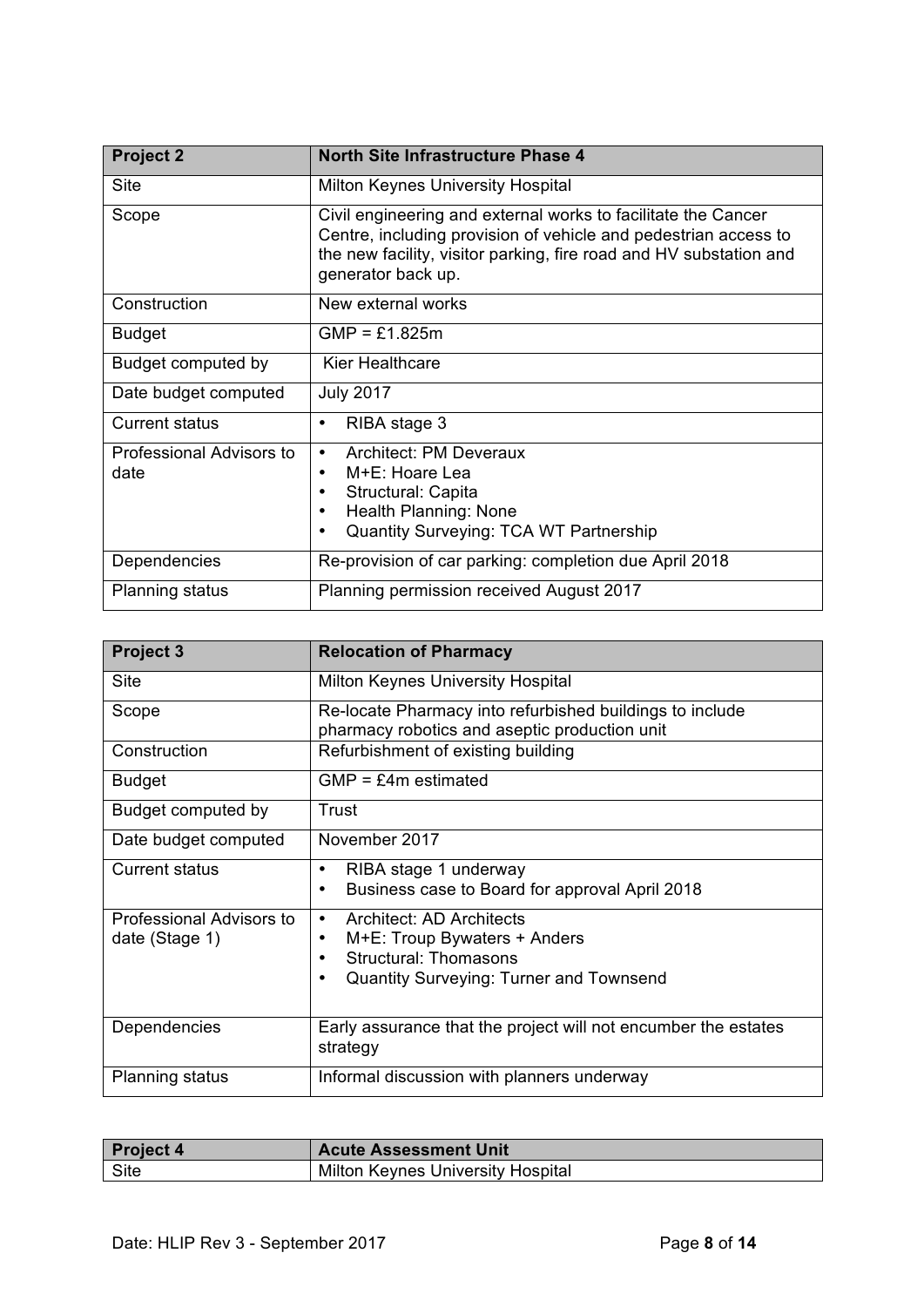| <b>Project 2</b>                 | <b>North Site Infrastructure Phase 4</b>                                                                                                                                                                                     |  |  |
|----------------------------------|------------------------------------------------------------------------------------------------------------------------------------------------------------------------------------------------------------------------------|--|--|
| <b>Site</b>                      | <b>Milton Keynes University Hospital</b>                                                                                                                                                                                     |  |  |
| Scope                            | Civil engineering and external works to facilitate the Cancer<br>Centre, including provision of vehicle and pedestrian access to<br>the new facility, visitor parking, fire road and HV substation and<br>generator back up. |  |  |
| Construction                     | New external works                                                                                                                                                                                                           |  |  |
| <b>Budget</b>                    | $GMP = £1.825m$                                                                                                                                                                                                              |  |  |
| Budget computed by               | Kier Healthcare                                                                                                                                                                                                              |  |  |
| Date budget computed             | <b>July 2017</b>                                                                                                                                                                                                             |  |  |
| <b>Current status</b>            | RIBA stage 3<br>٠                                                                                                                                                                                                            |  |  |
| Professional Advisors to<br>date | <b>Architect: PM Deveraux</b><br>$\bullet$<br>M+E: Hoare Lea<br>٠<br>Structural: Capita<br>Health Planning: None<br><b>Quantity Surveying: TCA WT Partnership</b>                                                            |  |  |
| Dependencies                     | Re-provision of car parking: completion due April 2018                                                                                                                                                                       |  |  |
| <b>Planning status</b>           | Planning permission received August 2017                                                                                                                                                                                     |  |  |

| <b>Project 3</b>                           | <b>Relocation of Pharmacy</b>                                                                                                                                   |  |
|--------------------------------------------|-----------------------------------------------------------------------------------------------------------------------------------------------------------------|--|
| <b>Site</b>                                | <b>Milton Keynes University Hospital</b>                                                                                                                        |  |
| Scope                                      | Re-locate Pharmacy into refurbished buildings to include<br>pharmacy robotics and aseptic production unit                                                       |  |
| Construction                               | Refurbishment of existing building                                                                                                                              |  |
| <b>Budget</b>                              | $GMP = E4m$ estimated                                                                                                                                           |  |
| Budget computed by                         | Trust                                                                                                                                                           |  |
| Date budget computed                       | November 2017                                                                                                                                                   |  |
| <b>Current status</b>                      | RIBA stage 1 underway<br>Business case to Board for approval April 2018<br>٠                                                                                    |  |
| Professional Advisors to<br>date (Stage 1) | <b>Architect: AD Architects</b><br>$\bullet$<br>$M+E$ : Troup Bywaters + Anders<br>٠<br><b>Structural: Thomasons</b><br>Quantity Surveying: Turner and Townsend |  |
| Dependencies                               | Early assurance that the project will not encumber the estates<br>strategy                                                                                      |  |
| <b>Planning status</b>                     | Informal discussion with planners underway                                                                                                                      |  |

| <b>Project 4</b> | <b>Acute Assessment Unit</b>      |
|------------------|-----------------------------------|
| Site             | Milton Keynes University Hospital |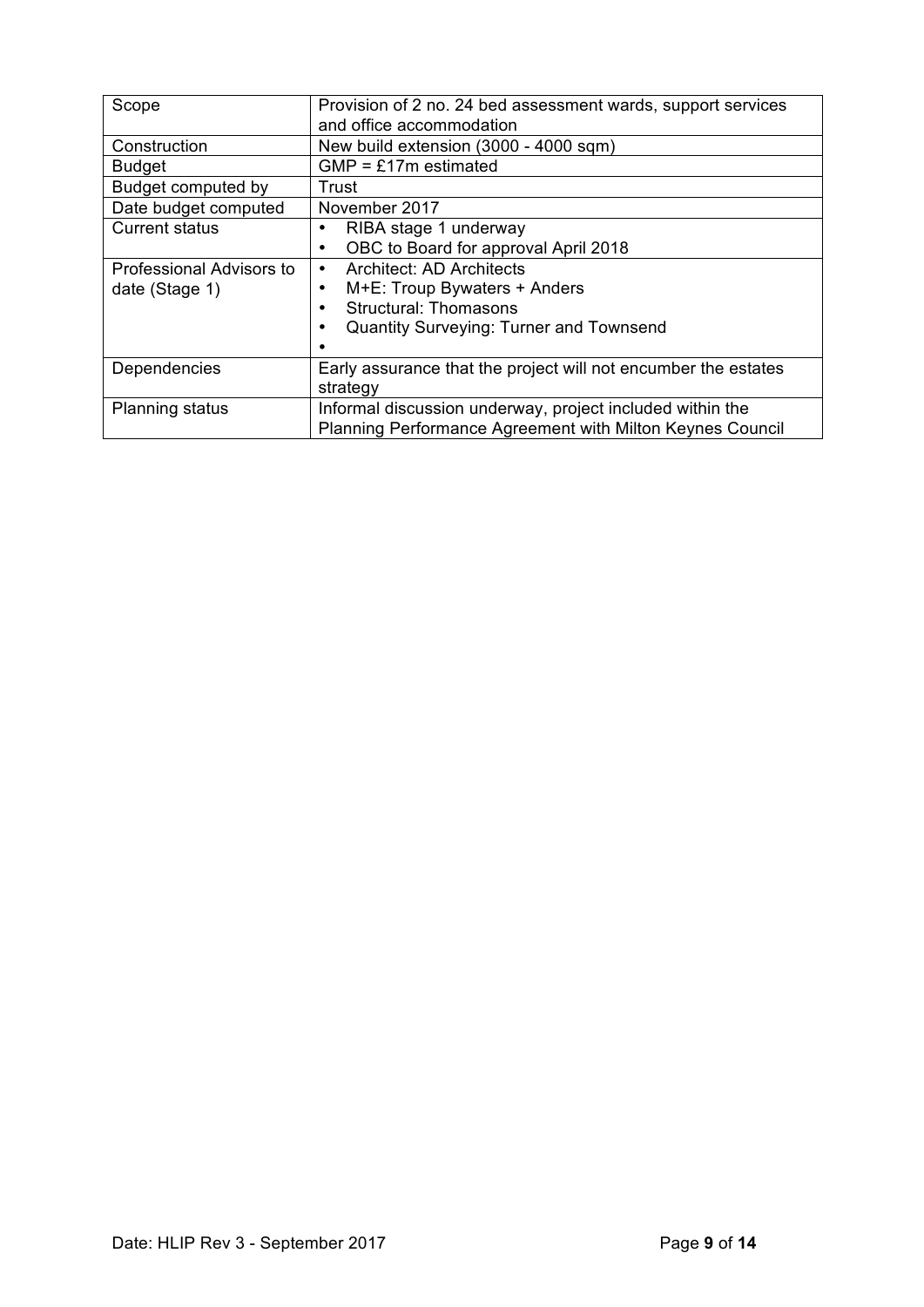| Scope                    | Provision of 2 no. 24 bed assessment wards, support services   |  |  |
|--------------------------|----------------------------------------------------------------|--|--|
|                          | and office accommodation                                       |  |  |
| Construction             | New build extension (3000 - 4000 sqm)                          |  |  |
| <b>Budget</b>            | $GMP = £17m$ estimated                                         |  |  |
| Budget computed by       | Trust                                                          |  |  |
| Date budget computed     | November 2017                                                  |  |  |
| <b>Current status</b>    | RIBA stage 1 underway                                          |  |  |
|                          | OBC to Board for approval April 2018                           |  |  |
| Professional Advisors to | <b>Architect: AD Architects</b><br>$\bullet$                   |  |  |
| date (Stage 1)           | M+E: Troup Bywaters + Anders                                   |  |  |
|                          | <b>Structural: Thomasons</b>                                   |  |  |
|                          | <b>Quantity Surveying: Turner and Townsend</b>                 |  |  |
|                          |                                                                |  |  |
| Dependencies             | Early assurance that the project will not encumber the estates |  |  |
|                          | strategy                                                       |  |  |
| <b>Planning status</b>   | Informal discussion underway, project included within the      |  |  |
|                          | Planning Performance Agreement with Milton Keynes Council      |  |  |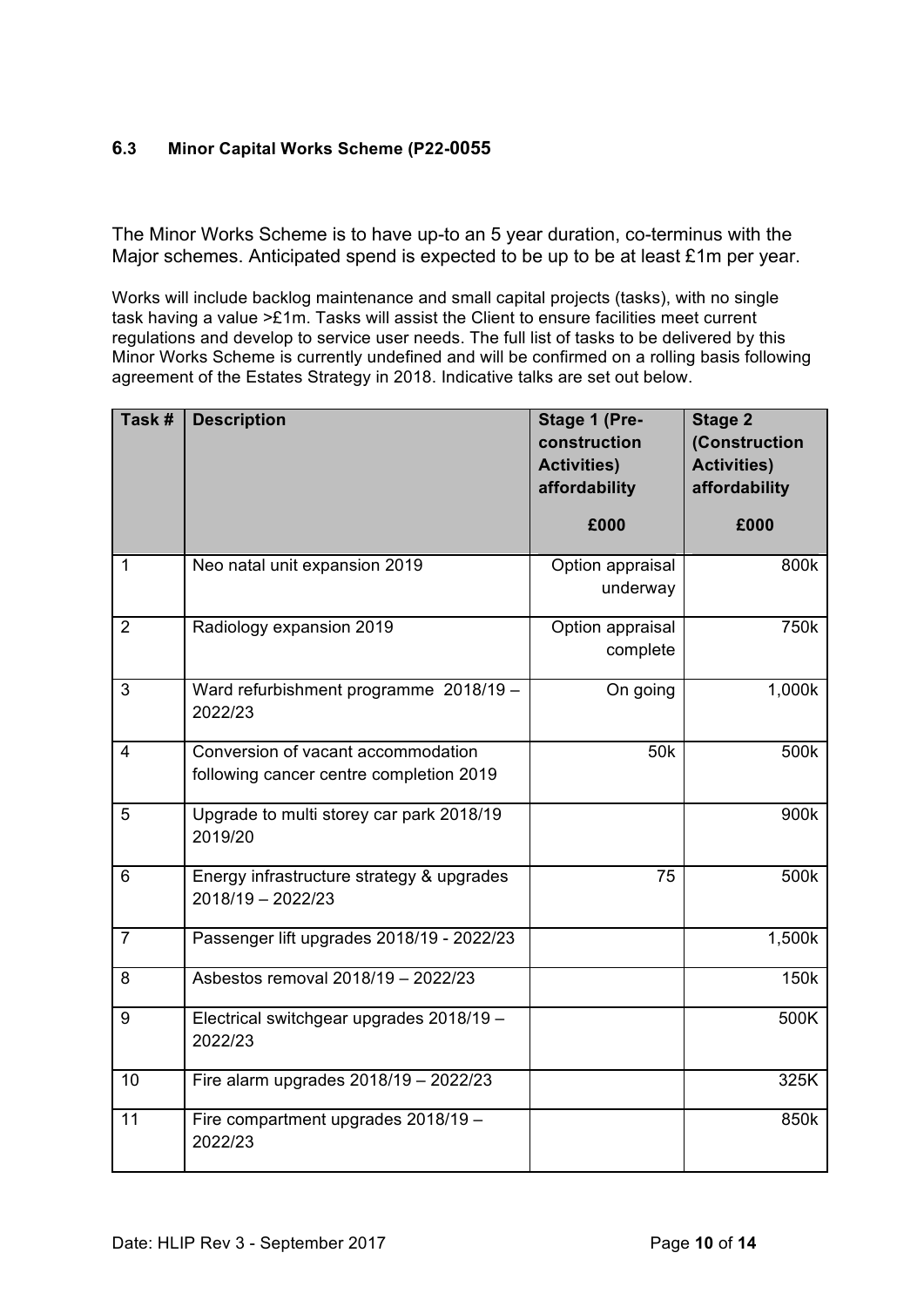# **6.3 Minor Capital Works Scheme (P22-0055**

The Minor Works Scheme is to have up-to an 5 year duration, co-terminus with the Major schemes. Anticipated spend is expected to be up to be at least £1m per year.

Works will include backlog maintenance and small capital projects (tasks), with no single task having a value >£1m. Tasks will assist the Client to ensure facilities meet current regulations and develop to service user needs. The full list of tasks to be delivered by this Minor Works Scheme is currently undefined and will be confirmed on a rolling basis following agreement of the Estates Strategy in 2018. Indicative talks are set out below.

| Task #         | <b>Description</b>                                                            | Stage 1 (Pre-<br>construction<br><b>Activities)</b><br>affordability<br>£000 | <b>Stage 2</b><br>(Construction<br><b>Activities)</b><br>affordability<br>£000 |
|----------------|-------------------------------------------------------------------------------|------------------------------------------------------------------------------|--------------------------------------------------------------------------------|
| $\mathbf{1}$   | Neo natal unit expansion 2019                                                 | Option appraisal<br>underway                                                 | 800k                                                                           |
| $\overline{2}$ | Radiology expansion 2019                                                      | Option appraisal<br>complete                                                 | 750k                                                                           |
| 3              | Ward refurbishment programme 2018/19 -<br>2022/23                             | On going                                                                     | 1,000k                                                                         |
| $\overline{4}$ | Conversion of vacant accommodation<br>following cancer centre completion 2019 | 50 <sub>k</sub>                                                              | 500k                                                                           |
| 5              | Upgrade to multi storey car park 2018/19<br>2019/20                           |                                                                              | 900k                                                                           |
| 6              | Energy infrastructure strategy & upgrades<br>2018/19 - 2022/23                | 75                                                                           | 500k                                                                           |
| $\overline{7}$ | Passenger lift upgrades 2018/19 - 2022/23                                     |                                                                              | 1,500k                                                                         |
| 8              | Asbestos removal 2018/19 - 2022/23                                            |                                                                              | 150k                                                                           |
| 9              | Electrical switchgear upgrades 2018/19 -<br>2022/23                           |                                                                              | 500K                                                                           |
| 10             | Fire alarm upgrades 2018/19 - 2022/23                                         |                                                                              | 325K                                                                           |
| 11             | Fire compartment upgrades 2018/19 -<br>2022/23                                |                                                                              | 850k                                                                           |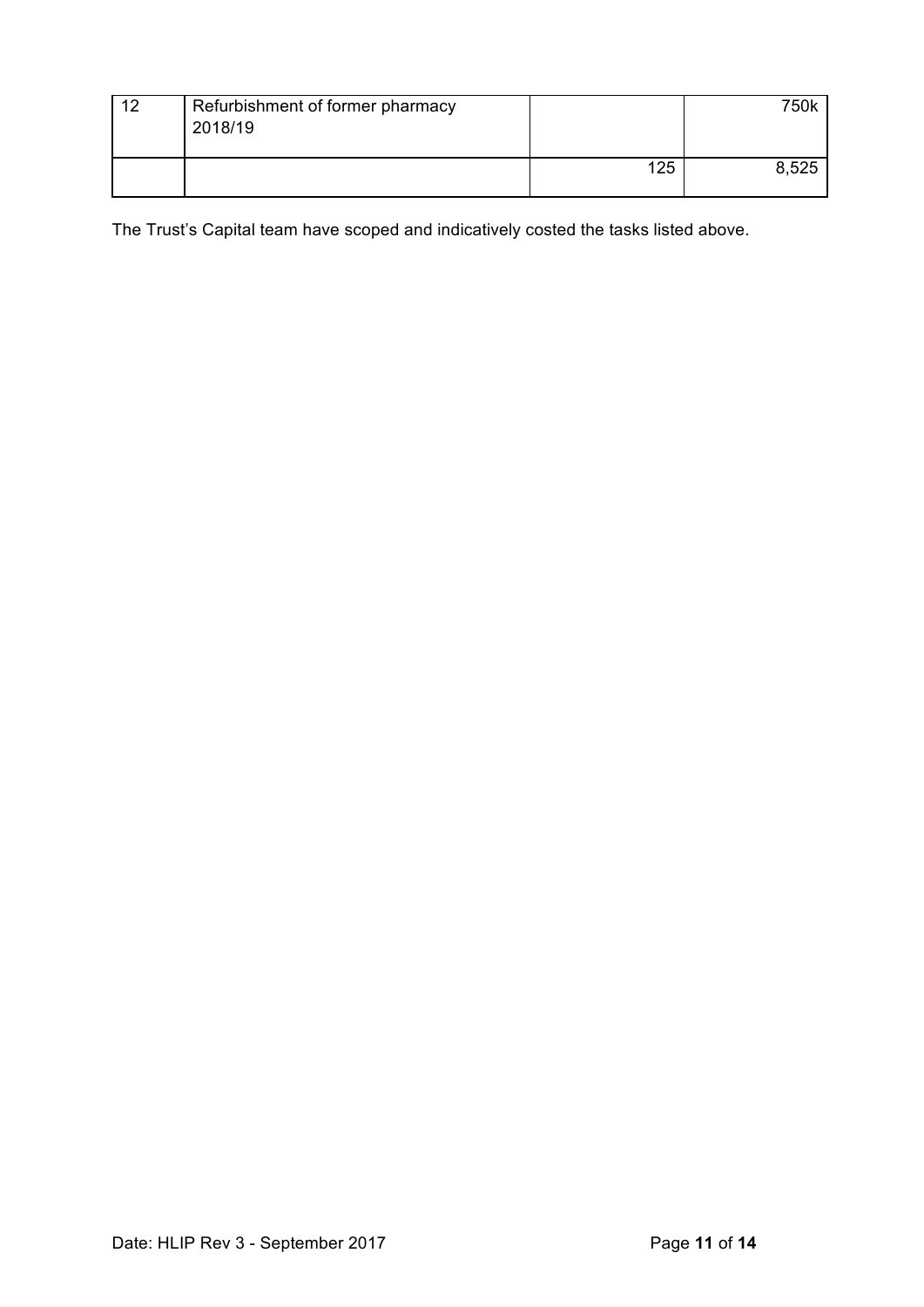| 1つ | Refurbishment of former pharmacy<br>2018/19 |     | 750k  |
|----|---------------------------------------------|-----|-------|
|    |                                             | 125 | 8,525 |

The Trust's Capital team have scoped and indicatively costed the tasks listed above.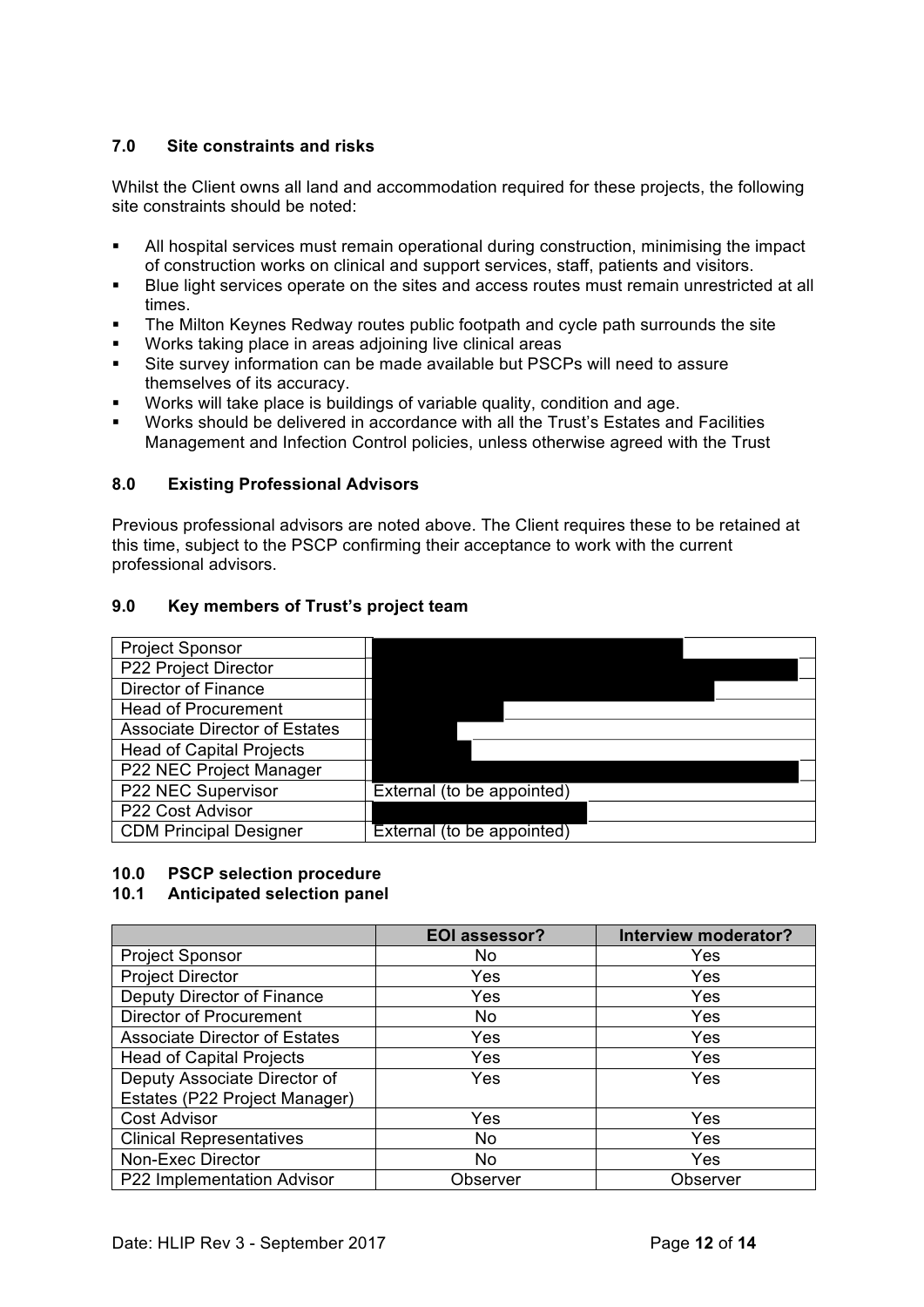## **7.0 Site constraints and risks**

Whilst the Client owns all land and accommodation required for these projects, the following site constraints should be noted:

- All hospital services must remain operational during construction, minimising the impact of construction works on clinical and support services, staff, patients and visitors.
- ! Blue light services operate on the sites and access routes must remain unrestricted at all times.
- The Milton Keynes Redway routes public footpath and cycle path surrounds the site
- Works taking place in areas adjoining live clinical areas
- Site survey information can be made available but PSCPs will need to assure themselves of its accuracy.
- Works will take place is buildings of variable quality, condition and age.
- ! Works should be delivered in accordance with all the Trust's Estates and Facilities Management and Infection Control policies, unless otherwise agreed with the Trust

## **8.0 Existing Professional Advisors**

Previous professional advisors are noted above. The Client requires these to be retained at this time, subject to the PSCP confirming their acceptance to work with the current professional advisors.

## **9.0 Key members of Trust's project team**



#### **10.0 PSCP selection procedure**

## **10.1 Anticipated selection panel**

|                                      | <b>EOI assessor?</b> | Interview moderator? |
|--------------------------------------|----------------------|----------------------|
| <b>Project Sponsor</b>               | No                   | Yes                  |
| <b>Project Director</b>              | Yes                  | Yes                  |
| Deputy Director of Finance           | Yes                  | Yes                  |
| <b>Director of Procurement</b>       | <b>No</b>            | Yes                  |
| <b>Associate Director of Estates</b> | Yes                  | Yes                  |
| <b>Head of Capital Projects</b>      | Yes                  | Yes                  |
| Deputy Associate Director of         | Yes                  | Yes                  |
| Estates (P22 Project Manager)        |                      |                      |
| <b>Cost Advisor</b>                  | Yes                  | Yes                  |
| <b>Clinical Representatives</b>      | No                   | Yes                  |
| Non-Exec Director                    | No.                  | Yes                  |
| P22 Implementation Advisor           | Observer             | Observer             |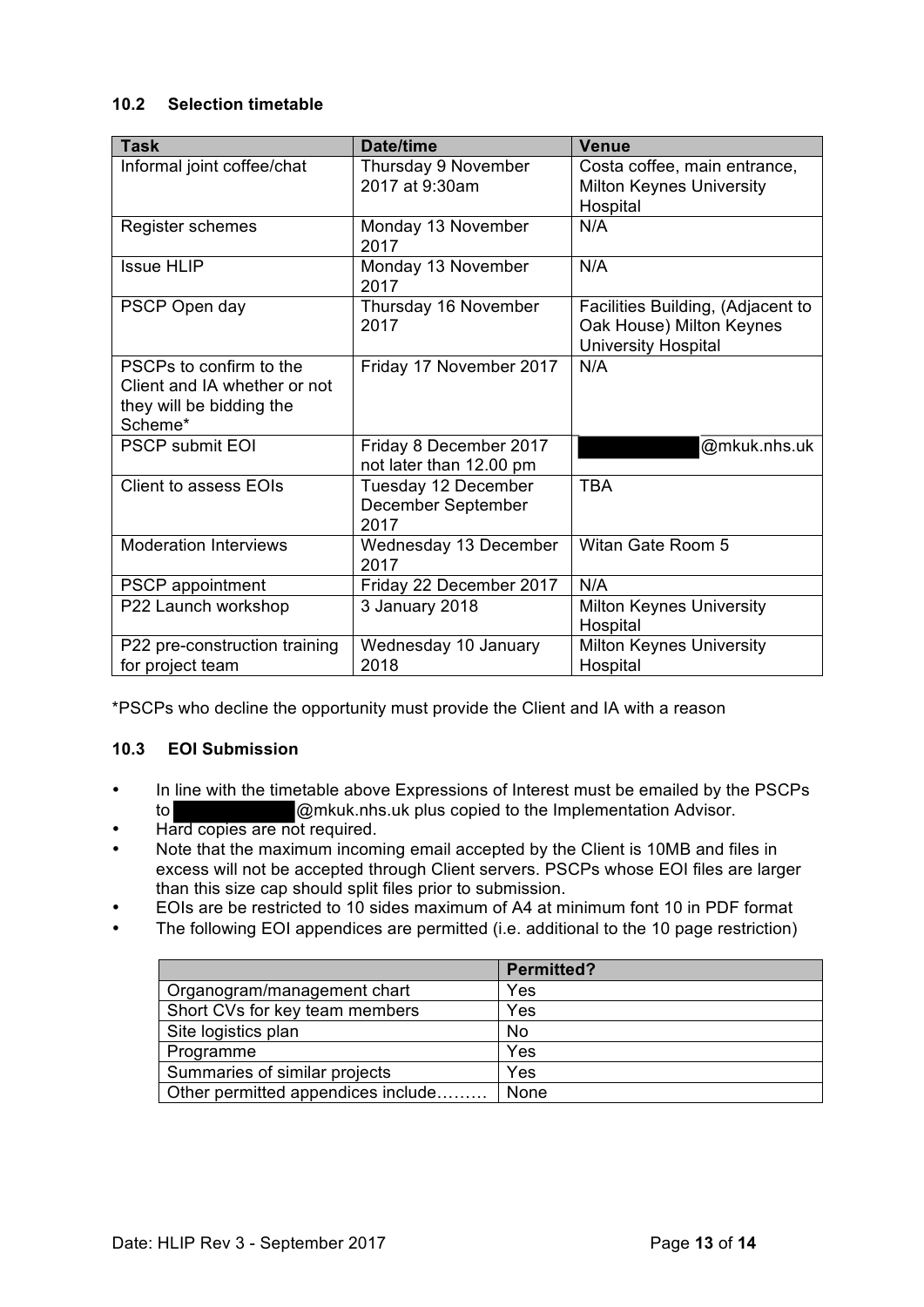## **10.2 Selection timetable**

| <b>Task</b>                                                                                    | Date/time                                         | <b>Venue</b>                                                                         |
|------------------------------------------------------------------------------------------------|---------------------------------------------------|--------------------------------------------------------------------------------------|
| Informal joint coffee/chat                                                                     | Thursday 9 November<br>2017 at 9:30am             | Costa coffee, main entrance,<br><b>Milton Keynes University</b><br>Hospital          |
| Register schemes                                                                               | Monday 13 November<br>2017                        | N/A                                                                                  |
| <b>Issue HLIP</b>                                                                              | Monday 13 November<br>2017                        | N/A                                                                                  |
| PSCP Open day                                                                                  | Thursday 16 November<br>2017                      | Facilities Building, (Adjacent to<br>Oak House) Milton Keynes<br>University Hospital |
| PSCPs to confirm to the<br>Client and IA whether or not<br>they will be bidding the<br>Scheme* | Friday 17 November 2017                           | N/A                                                                                  |
| <b>PSCP submit EOI</b>                                                                         | Friday 8 December 2017<br>not later than 12.00 pm | @mkuk.nhs.uk                                                                         |
| Client to assess EOIs                                                                          | Tuesday 12 December<br>December September<br>2017 | <b>TBA</b>                                                                           |
| <b>Moderation Interviews</b>                                                                   | Wednesday 13 December<br>2017                     | Witan Gate Room 5                                                                    |
| <b>PSCP</b> appointment                                                                        | Friday 22 December 2017                           | N/A                                                                                  |
| P22 Launch workshop                                                                            | 3 January 2018                                    | <b>Milton Keynes University</b><br>Hospital                                          |
| P22 pre-construction training<br>for project team                                              | Wednesday 10 January<br>2018                      | <b>Milton Keynes University</b><br>Hospital                                          |

\*PSCPs who decline the opportunity must provide the Client and IA with a reason

## **10.3 EOI Submission**

- In line with the timetable above Expressions of Interest must be emailed by the PSCPs to  $\omega$ mkuk.nhs.uk plus copied to the Implementation Advisor. @mkuk.nhs.uk plus copied to the Implementation Advisor.
- Hard copies are not required.
- Note that the maximum incoming email accepted by the Client is 10MB and files in excess will not be accepted through Client servers. PSCPs whose EOI files are larger than this size cap should split files prior to submission.
- EOIs are be restricted to 10 sides maximum of A4 at minimum font 10 in PDF format
- The following EOI appendices are permitted (i.e. additional to the 10 page restriction)

|                                    | <b>Permitted?</b> |
|------------------------------------|-------------------|
| Organogram/management chart        | Yes               |
| Short CVs for key team members     | Yes               |
| Site logistics plan                | No                |
| Programme                          | Yes               |
| Summaries of similar projects      | Yes               |
| Other permitted appendices include | None              |